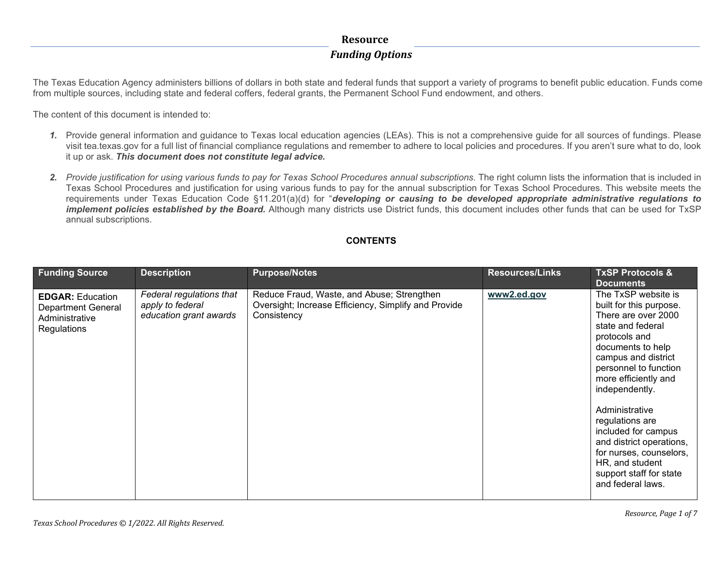The Texas Education Agency administers billions of dollars in both state and federal funds that support a variety of programs to benefit public education. Funds come from multiple sources, including state and federal coffers, federal grants, the Permanent School Fund endowment, and others.

The content of this document is intended to:

- *1.* Provide general information and guidance to Texas local education agencies (LEAs). This is not a comprehensive guide for all sources of fundings. Please visit tea.texas.gov for a full list of financial compliance regulations and remember to adhere to local policies and procedures. If you aren't sure what to do, look it up or ask. *This document does not constitute legal advice.*
- *2. Provide justification for using various funds to pay for Texas School Procedures annual subscriptions.* The right column lists the information that is included in Texas School Procedures and justification for using various funds to pay for the annual subscription for Texas School Procedures. This website meets the requirements under Texas Education Code §11.201(a)(d) for "*developing or causing to be developed appropriate administrative regulations to implement policies established by the Board.* Although many districts use District funds, this document includes other funds that can be used for TxSP annual subscriptions.

#### **CONTENTS**

| Reduce Fraud, Waste, and Abuse; Strengthen<br>The TxSP website is<br>Federal regulations that<br>www2.ed.gov<br><b>EDGAR: Education</b><br>Oversight; Increase Efficiency, Simplify and Provide<br>apply to federal<br>built for this purpose.<br>Department General<br>There are over 2000<br>education grant awards<br>Consistency<br>Administrative<br>state and federal<br>Regulations<br>protocols and<br>documents to help | <b>Funding Source</b> | <b>Description</b> | <b>Purpose/Notes</b> | <b>Resources/Links</b> | <b>TxSP Protocols &amp;</b><br><b>Documents</b> |
|----------------------------------------------------------------------------------------------------------------------------------------------------------------------------------------------------------------------------------------------------------------------------------------------------------------------------------------------------------------------------------------------------------------------------------|-----------------------|--------------------|----------------------|------------------------|-------------------------------------------------|
| campus and district<br>personnel to function<br>more efficiently and<br>independently.<br>Administrative<br>regulations are<br>included for campus<br>and district operations,<br>for nurses, counselors,<br>HR, and student<br>support staff for state<br>and federal laws.                                                                                                                                                     |                       |                    |                      |                        |                                                 |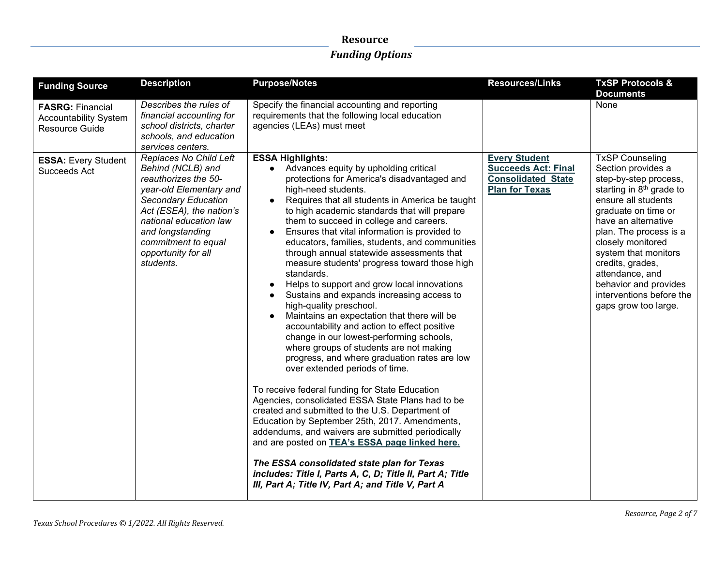| <b>Funding Source</b>                                                     | <b>Description</b>                                                                                                                                                                                                                                                | <b>Purpose/Notes</b>                                                                                                                                                                                                                                                                                                                                                                                                                                                                                                                                                                                                                                                                                                                                                                                                                                                                                                                                                                                                                                                                                                                                                                                                                                                                                                                                                                  | <b>Resources/Links</b>                                                                                   | <b>TxSP Protocols &amp;</b><br><b>Documents</b>                                                                                                                                                                                                                                                                                                                               |
|---------------------------------------------------------------------------|-------------------------------------------------------------------------------------------------------------------------------------------------------------------------------------------------------------------------------------------------------------------|---------------------------------------------------------------------------------------------------------------------------------------------------------------------------------------------------------------------------------------------------------------------------------------------------------------------------------------------------------------------------------------------------------------------------------------------------------------------------------------------------------------------------------------------------------------------------------------------------------------------------------------------------------------------------------------------------------------------------------------------------------------------------------------------------------------------------------------------------------------------------------------------------------------------------------------------------------------------------------------------------------------------------------------------------------------------------------------------------------------------------------------------------------------------------------------------------------------------------------------------------------------------------------------------------------------------------------------------------------------------------------------|----------------------------------------------------------------------------------------------------------|-------------------------------------------------------------------------------------------------------------------------------------------------------------------------------------------------------------------------------------------------------------------------------------------------------------------------------------------------------------------------------|
| <b>FASRG: Financial</b><br><b>Accountability System</b><br>Resource Guide | Describes the rules of<br>financial accounting for<br>school districts, charter<br>schools, and education<br>services centers.                                                                                                                                    | Specify the financial accounting and reporting<br>requirements that the following local education<br>agencies (LEAs) must meet                                                                                                                                                                                                                                                                                                                                                                                                                                                                                                                                                                                                                                                                                                                                                                                                                                                                                                                                                                                                                                                                                                                                                                                                                                                        |                                                                                                          | None                                                                                                                                                                                                                                                                                                                                                                          |
| <b>ESSA: Every Student</b><br>Succeeds Act                                | Replaces No Child Left<br>Behind (NCLB) and<br>reauthorizes the 50-<br>year-old Elementary and<br><b>Secondary Education</b><br>Act (ESEA), the nation's<br>national education law<br>and longstanding<br>commitment to equal<br>opportunity for all<br>students. | <b>ESSA Highlights:</b><br>Advances equity by upholding critical<br>protections for America's disadvantaged and<br>high-need students.<br>Requires that all students in America be taught<br>to high academic standards that will prepare<br>them to succeed in college and careers.<br>Ensures that vital information is provided to<br>educators, families, students, and communities<br>through annual statewide assessments that<br>measure students' progress toward those high<br>standards.<br>Helps to support and grow local innovations<br>Sustains and expands increasing access to<br>high-quality preschool.<br>Maintains an expectation that there will be<br>accountability and action to effect positive<br>change in our lowest-performing schools,<br>where groups of students are not making<br>progress, and where graduation rates are low<br>over extended periods of time.<br>To receive federal funding for State Education<br>Agencies, consolidated ESSA State Plans had to be<br>created and submitted to the U.S. Department of<br>Education by September 25th, 2017. Amendments,<br>addendums, and waivers are submitted periodically<br>and are posted on TEA's ESSA page linked here.<br>The ESSA consolidated state plan for Texas<br>includes: Title I, Parts A, C, D; Title II, Part A; Title<br>III, Part A; Title IV, Part A; and Title V, Part A | <b>Every Student</b><br><b>Succeeds Act: Final</b><br><b>Consolidated State</b><br><b>Plan for Texas</b> | <b>TxSP Counseling</b><br>Section provides a<br>step-by-step process,<br>starting in 8 <sup>th</sup> grade to<br>ensure all students<br>graduate on time or<br>have an alternative<br>plan. The process is a<br>closely monitored<br>system that monitors<br>credits, grades,<br>attendance, and<br>behavior and provides<br>interventions before the<br>gaps grow too large. |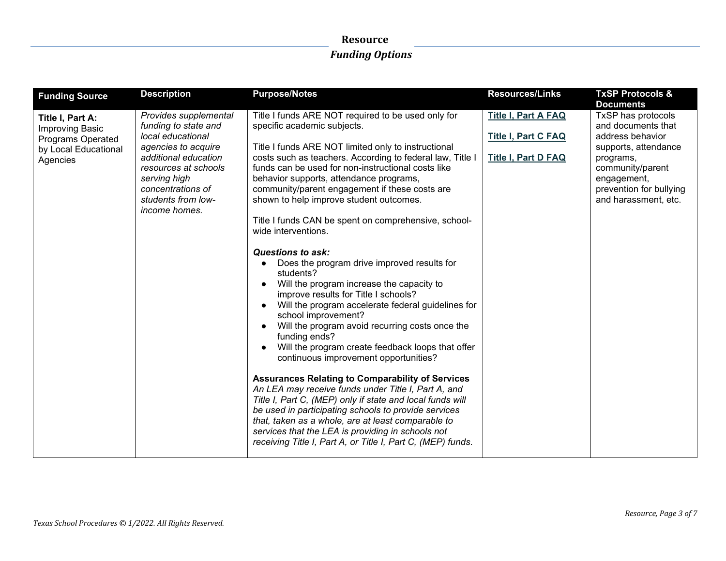| <b>Funding Source</b>                                                                               | <b>Description</b>                                                                                                                                                                                                           | <b>Purpose/Notes</b>                                                                                                                                                                                                                                                                                                                                                                                                                                                                                                                                                                                                                                                                                                                                                                                                                                                                                                                                                                                                                                                                                                                                                                                                                                                                                                                         | <b>Resources/Links</b>                                                                 | <b>TxSP Protocols &amp;</b>                                                                                                                                                                                 |
|-----------------------------------------------------------------------------------------------------|------------------------------------------------------------------------------------------------------------------------------------------------------------------------------------------------------------------------------|----------------------------------------------------------------------------------------------------------------------------------------------------------------------------------------------------------------------------------------------------------------------------------------------------------------------------------------------------------------------------------------------------------------------------------------------------------------------------------------------------------------------------------------------------------------------------------------------------------------------------------------------------------------------------------------------------------------------------------------------------------------------------------------------------------------------------------------------------------------------------------------------------------------------------------------------------------------------------------------------------------------------------------------------------------------------------------------------------------------------------------------------------------------------------------------------------------------------------------------------------------------------------------------------------------------------------------------------|----------------------------------------------------------------------------------------|-------------------------------------------------------------------------------------------------------------------------------------------------------------------------------------------------------------|
| Title I, Part A:<br>Improving Basic<br><b>Programs Operated</b><br>by Local Educational<br>Agencies | Provides supplemental<br>funding to state and<br>local educational<br>agencies to acquire<br>additional education<br>resources at schools<br>serving high<br>concentrations of<br>students from low-<br><i>income homes.</i> | Title I funds ARE NOT required to be used only for<br>specific academic subjects.<br>Title I funds ARE NOT limited only to instructional<br>costs such as teachers. According to federal law, Title I<br>funds can be used for non-instructional costs like<br>behavior supports, attendance programs,<br>community/parent engagement if these costs are<br>shown to help improve student outcomes.<br>Title I funds CAN be spent on comprehensive, school-<br>wide interventions.<br><b>Questions to ask:</b><br>Does the program drive improved results for<br>$\bullet$<br>students?<br>Will the program increase the capacity to<br>improve results for Title I schools?<br>Will the program accelerate federal guidelines for<br>school improvement?<br>Will the program avoid recurring costs once the<br>funding ends?<br>Will the program create feedback loops that offer<br>continuous improvement opportunities?<br><b>Assurances Relating to Comparability of Services</b><br>An LEA may receive funds under Title I, Part A, and<br>Title I, Part C, (MEP) only if state and local funds will<br>be used in participating schools to provide services<br>that, taken as a whole, are at least comparable to<br>services that the LEA is providing in schools not<br>receiving Title I, Part A, or Title I, Part C, (MEP) funds. | <b>Title I, Part A FAQ</b><br><b>Title I, Part C FAQ</b><br><b>Title I, Part D FAQ</b> | <b>Documents</b><br>TxSP has protocols<br>and documents that<br>address behavior<br>supports, attendance<br>programs,<br>community/parent<br>engagement,<br>prevention for bullying<br>and harassment, etc. |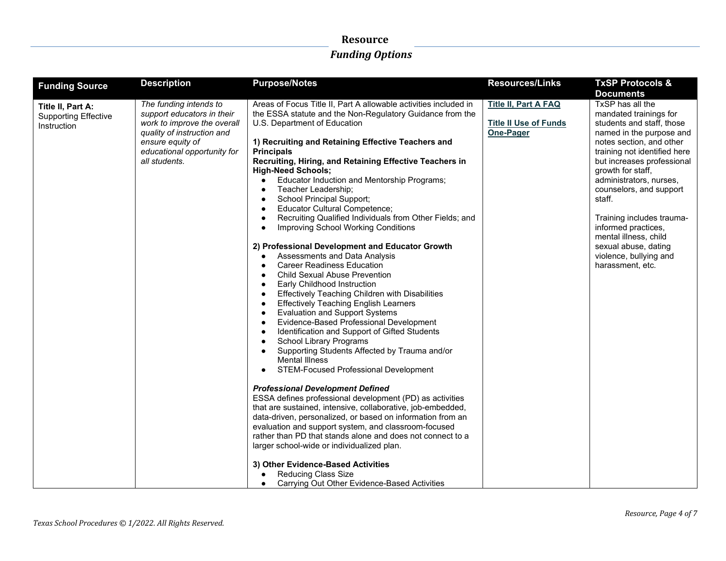| <b>Funding Source</b>                                           | <b>Description</b>                                                                                                                                                                    | <b>Purpose/Notes</b>                                                                                                                                                                                                                                                                                                                                                                                                                                                                                                                                                                                                                                                                                                                                                                                                                                                                                                                                                                                                                                                                                                                                                                                                                                                                                                                                                                                                                                                                                                                                                                                                                                                                                         | <b>Resources/Links</b>                                                   | <b>TxSP Protocols &amp;</b><br><b>Documents</b>                                                                                                                                                                                                                                                                                                                                                                                       |
|-----------------------------------------------------------------|---------------------------------------------------------------------------------------------------------------------------------------------------------------------------------------|--------------------------------------------------------------------------------------------------------------------------------------------------------------------------------------------------------------------------------------------------------------------------------------------------------------------------------------------------------------------------------------------------------------------------------------------------------------------------------------------------------------------------------------------------------------------------------------------------------------------------------------------------------------------------------------------------------------------------------------------------------------------------------------------------------------------------------------------------------------------------------------------------------------------------------------------------------------------------------------------------------------------------------------------------------------------------------------------------------------------------------------------------------------------------------------------------------------------------------------------------------------------------------------------------------------------------------------------------------------------------------------------------------------------------------------------------------------------------------------------------------------------------------------------------------------------------------------------------------------------------------------------------------------------------------------------------------------|--------------------------------------------------------------------------|---------------------------------------------------------------------------------------------------------------------------------------------------------------------------------------------------------------------------------------------------------------------------------------------------------------------------------------------------------------------------------------------------------------------------------------|
| Title II, Part A:<br><b>Supporting Effective</b><br>Instruction | The funding intends to<br>support educators in their<br>work to improve the overall<br>quality of instruction and<br>ensure equity of<br>educational opportunity for<br>all students. | Areas of Focus Title II, Part A allowable activities included in<br>the ESSA statute and the Non-Regulatory Guidance from the<br>U.S. Department of Education<br>1) Recruiting and Retaining Effective Teachers and<br><b>Principals</b><br>Recruiting, Hiring, and Retaining Effective Teachers in<br><b>High-Need Schools;</b><br>Educator Induction and Mentorship Programs;<br>Teacher Leadership;<br>School Principal Support;<br>Educator Cultural Competence;<br>Recruiting Qualified Individuals from Other Fields; and<br>Improving School Working Conditions<br>2) Professional Development and Educator Growth<br>Assessments and Data Analysis<br><b>Career Readiness Education</b><br><b>Child Sexual Abuse Prevention</b><br>Early Childhood Instruction<br>Effectively Teaching Children with Disabilities<br><b>Effectively Teaching English Learners</b><br><b>Evaluation and Support Systems</b><br>$\bullet$<br>Evidence-Based Professional Development<br>Identification and Support of Gifted Students<br><b>School Library Programs</b><br>Supporting Students Affected by Trauma and/or<br><b>Mental Illness</b><br>STEM-Focused Professional Development<br><b>Professional Development Defined</b><br>ESSA defines professional development (PD) as activities<br>that are sustained, intensive, collaborative, job-embedded,<br>data-driven, personalized, or based on information from an<br>evaluation and support system, and classroom-focused<br>rather than PD that stands alone and does not connect to a<br>larger school-wide or individualized plan.<br>3) Other Evidence-Based Activities<br><b>Reducing Class Size</b><br>Carrying Out Other Evidence-Based Activities | <b>Title II, Part A FAQ</b><br><b>Title II Use of Funds</b><br>One-Pager | TxSP has all the<br>mandated trainings for<br>students and staff, those<br>named in the purpose and<br>notes section, and other<br>training not identified here<br>but increases professional<br>growth for staff,<br>administrators, nurses,<br>counselors, and support<br>staff.<br>Training includes trauma-<br>informed practices,<br>mental illness, child<br>sexual abuse, dating<br>violence, bullying and<br>harassment, etc. |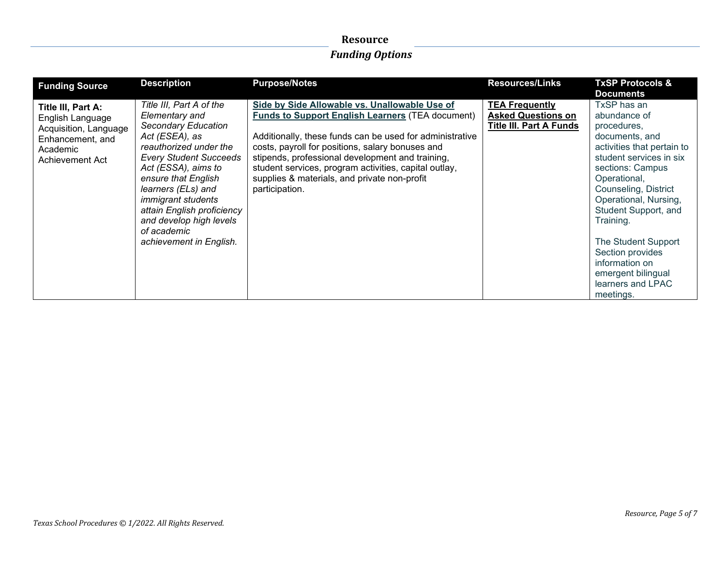| <b>Funding Source</b>                                                                                              | <b>Description</b>                                                                                                                                                                                                                                                                                                                                        | <b>Purpose/Notes</b>                                                                                                                                                                                                                                                                                                                                                                                    | <b>Resources/Links</b>                                                               | <b>TxSP Protocols &amp;</b><br><b>Documents</b>                                                                                                                                                                                                                                                                                                                      |
|--------------------------------------------------------------------------------------------------------------------|-----------------------------------------------------------------------------------------------------------------------------------------------------------------------------------------------------------------------------------------------------------------------------------------------------------------------------------------------------------|---------------------------------------------------------------------------------------------------------------------------------------------------------------------------------------------------------------------------------------------------------------------------------------------------------------------------------------------------------------------------------------------------------|--------------------------------------------------------------------------------------|----------------------------------------------------------------------------------------------------------------------------------------------------------------------------------------------------------------------------------------------------------------------------------------------------------------------------------------------------------------------|
| Title III, Part A:<br>English Language<br>Acquisition, Language<br>Enhancement, and<br>Academic<br>Achievement Act | Title III, Part A of the<br><b>Elementary and</b><br>Secondary Education<br>Act (ESEA), as<br>reauthorized under the<br><b>Every Student Succeeds</b><br>Act (ESSA), aims to<br>ensure that English<br>learners (ELs) and<br><i>immigrant students</i><br>attain English proficiency<br>and develop high levels<br>of academic<br>achievement in English. | Side by Side Allowable vs. Unallowable Use of<br><b>Funds to Support English Learners (TEA document)</b><br>Additionally, these funds can be used for administrative<br>costs, payroll for positions, salary bonuses and<br>stipends, professional development and training,<br>student services, program activities, capital outlay,<br>supplies & materials, and private non-profit<br>participation. | <b>TEA Frequently</b><br><b>Asked Questions on</b><br><b>Title III. Part A Funds</b> | TxSP has an<br>abundance of<br>procedures,<br>documents, and<br>activities that pertain to<br>student services in six<br>sections: Campus<br>Operational,<br>Counseling, District<br>Operational, Nursing,<br>Student Support, and<br>Training.<br>The Student Support<br>Section provides<br>information on<br>emergent bilingual<br>learners and LPAC<br>meetings. |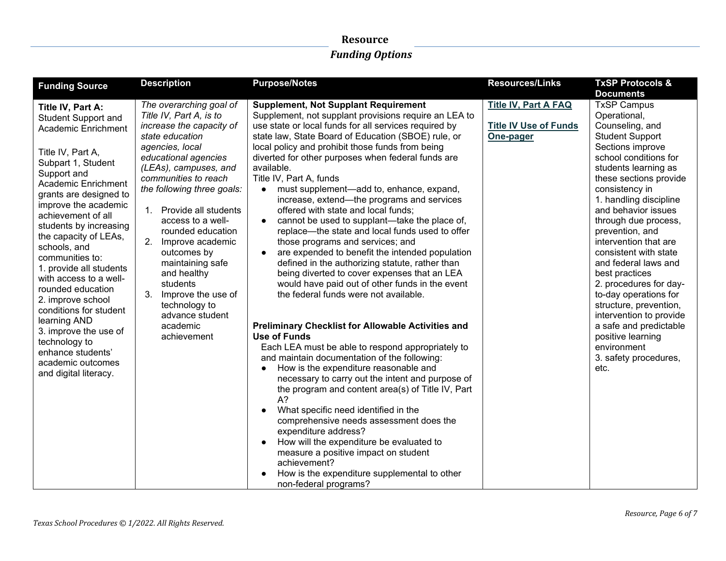| <b>Funding Source</b>                                                                                                                                                                                                                                                                                                                                                                                                                                                                                                                                                       | <b>Description</b>                                                                                                                                                                                                                                                                                                                                                                                                                                                                     | <b>Purpose/Notes</b>                                                                                                                                                                                                                                                                                                                                                                                                                                                                                                                                                                                                                                                                                                                                                                                                                                                                                                                                                                                                                                                                                                                                                                                                                                                                                                                                                                                                                                                                                                                                                                        | <b>Resources/Links</b>                                                   | <b>TxSP Protocols &amp;</b>                                                                                                                                                                                                                                                                                                                                                                                                                                                                                                                                                                     |
|-----------------------------------------------------------------------------------------------------------------------------------------------------------------------------------------------------------------------------------------------------------------------------------------------------------------------------------------------------------------------------------------------------------------------------------------------------------------------------------------------------------------------------------------------------------------------------|----------------------------------------------------------------------------------------------------------------------------------------------------------------------------------------------------------------------------------------------------------------------------------------------------------------------------------------------------------------------------------------------------------------------------------------------------------------------------------------|---------------------------------------------------------------------------------------------------------------------------------------------------------------------------------------------------------------------------------------------------------------------------------------------------------------------------------------------------------------------------------------------------------------------------------------------------------------------------------------------------------------------------------------------------------------------------------------------------------------------------------------------------------------------------------------------------------------------------------------------------------------------------------------------------------------------------------------------------------------------------------------------------------------------------------------------------------------------------------------------------------------------------------------------------------------------------------------------------------------------------------------------------------------------------------------------------------------------------------------------------------------------------------------------------------------------------------------------------------------------------------------------------------------------------------------------------------------------------------------------------------------------------------------------------------------------------------------------|--------------------------------------------------------------------------|-------------------------------------------------------------------------------------------------------------------------------------------------------------------------------------------------------------------------------------------------------------------------------------------------------------------------------------------------------------------------------------------------------------------------------------------------------------------------------------------------------------------------------------------------------------------------------------------------|
|                                                                                                                                                                                                                                                                                                                                                                                                                                                                                                                                                                             |                                                                                                                                                                                                                                                                                                                                                                                                                                                                                        |                                                                                                                                                                                                                                                                                                                                                                                                                                                                                                                                                                                                                                                                                                                                                                                                                                                                                                                                                                                                                                                                                                                                                                                                                                                                                                                                                                                                                                                                                                                                                                                             |                                                                          | <b>Documents</b>                                                                                                                                                                                                                                                                                                                                                                                                                                                                                                                                                                                |
| Title IV, Part A:<br><b>Student Support and</b><br>Academic Enrichment<br>Title IV, Part A,<br>Subpart 1, Student<br>Support and<br>Academic Enrichment<br>grants are designed to<br>improve the academic<br>achievement of all<br>students by increasing<br>the capacity of LEAs,<br>schools, and<br>communities to:<br>1. provide all students<br>with access to a well-<br>rounded education<br>2. improve school<br>conditions for student<br>learning AND<br>3. improve the use of<br>technology to<br>enhance students'<br>academic outcomes<br>and digital literacy. | The overarching goal of<br>Title IV, Part A, is to<br>increase the capacity of<br>state education<br>agencies, local<br>educational agencies<br>(LEAs), campuses, and<br>communities to reach<br>the following three goals:<br>Provide all students<br>1.<br>access to a well-<br>rounded education<br>2.<br>Improve academic<br>outcomes by<br>maintaining safe<br>and healthy<br>students<br>3.<br>Improve the use of<br>technology to<br>advance student<br>academic<br>achievement | <b>Supplement, Not Supplant Requirement</b><br>Supplement, not supplant provisions require an LEA to<br>use state or local funds for all services required by<br>state law, State Board of Education (SBOE) rule, or<br>local policy and prohibit those funds from being<br>diverted for other purposes when federal funds are<br>available.<br>Title IV, Part A, funds<br>must supplement—add to, enhance, expand,<br>$\bullet$<br>increase, extend-the programs and services<br>offered with state and local funds;<br>cannot be used to supplant-take the place of,<br>replace-the state and local funds used to offer<br>those programs and services; and<br>are expended to benefit the intended population<br>$\bullet$<br>defined in the authorizing statute, rather than<br>being diverted to cover expenses that an LEA<br>would have paid out of other funds in the event<br>the federal funds were not available.<br><b>Preliminary Checklist for Allowable Activities and</b><br>Use of Funds<br>Each LEA must be able to respond appropriately to<br>and maintain documentation of the following:<br>How is the expenditure reasonable and<br>$\bullet$<br>necessary to carry out the intent and purpose of<br>the program and content area(s) of Title IV, Part<br>$A$ ?<br>What specific need identified in the<br>$\bullet$<br>comprehensive needs assessment does the<br>expenditure address?<br>How will the expenditure be evaluated to<br>measure a positive impact on student<br>achievement?<br>How is the expenditure supplemental to other<br>non-federal programs? | <b>Title IV, Part A FAQ</b><br><b>Title IV Use of Funds</b><br>One-pager | <b>TxSP Campus</b><br>Operational,<br>Counseling, and<br><b>Student Support</b><br>Sections improve<br>school conditions for<br>students learning as<br>these sections provide<br>consistency in<br>1. handling discipline<br>and behavior issues<br>through due process,<br>prevention, and<br>intervention that are<br>consistent with state<br>and federal laws and<br>best practices<br>2. procedures for day-<br>to-day operations for<br>structure, prevention,<br>intervention to provide<br>a safe and predictable<br>positive learning<br>environment<br>3. safety procedures,<br>etc. |